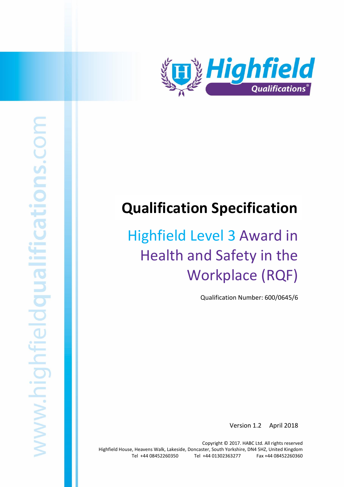

# **Qualification Specification**

# Highfield Level 3 Award in Health and Safety in the Workplace (RQF)

Qualification Number: 600/0645/6

Version 1.2 April 2018

Highfield Level 3 Award in Health and Safety within the Workplace (RQF) 1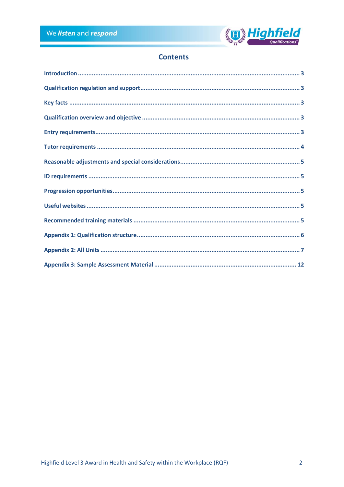

# **Contents**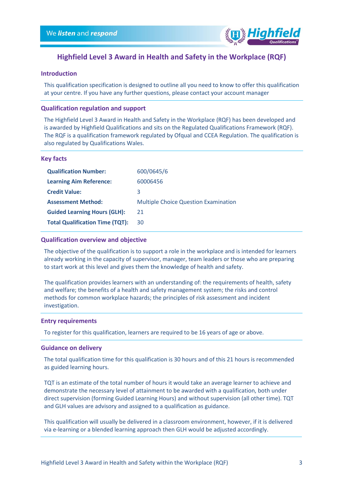

## **Highfield Level 3 Award in Health and Safety in the Workplace (RQF)**

## <span id="page-2-0"></span>**Introduction**

This qualification specification is designed to outline all you need to know to offer this qualification at your centre. If you have any further questions, please contact your account manager

#### <span id="page-2-1"></span>**Qualification regulation and support**

The Highfield Level 3 Award in Health and Safety in the Workplace (RQF) has been developed and is awarded by Highfield Qualifications and sits on the Regulated Qualifications Framework (RQF). The RQF is a qualification framework regulated by Ofqual and CCEA Regulation. The qualification is also regulated by Qualifications Wales.

#### <span id="page-2-2"></span>**Key facts**

| <b>Qualification Number:</b>           | 600/0645/6                                  |
|----------------------------------------|---------------------------------------------|
| <b>Learning Aim Reference:</b>         | 60006456                                    |
| <b>Credit Value:</b>                   | 3                                           |
|                                        |                                             |
| <b>Assessment Method:</b>              | <b>Multiple Choice Question Examination</b> |
| <b>Guided Learning Hours (GLH):</b>    | 21                                          |
| <b>Total Qualification Time (TQT):</b> | 30                                          |

#### <span id="page-2-3"></span>**Qualification overview and objective**

The objective of the qualification is to support a role in the workplace and is intended for learners already working in the capacity of supervisor, manager, team leaders or those who are preparing to start work at this level and gives them the knowledge of health and safety.

The qualification provides learners with an understanding of: the requirements of health, safety and welfare; the benefits of a health and safety management system; the risks and control methods for common workplace hazards; the principles of risk assessment and incident investigation.

#### <span id="page-2-4"></span>**Entry requirements**

To register for this qualification, learners are required to be 16 years of age or above.

#### **Guidance on delivery**

The total qualification time for this qualification is 30 hours and of this 21 hours is recommended as guided learning hours.

TQT is an estimate of the total number of hours it would take an average learner to achieve and demonstrate the necessary level of attainment to be awarded with a qualification, both under direct supervision (forming Guided Learning Hours) and without supervision (all other time). TQT and GLH values are advisory and assigned to a qualification as guidance.

This qualification will usually be delivered in a classroom environment, however, if it is delivered via e-learning or a blended learning approach then GLH would be adjusted accordingly.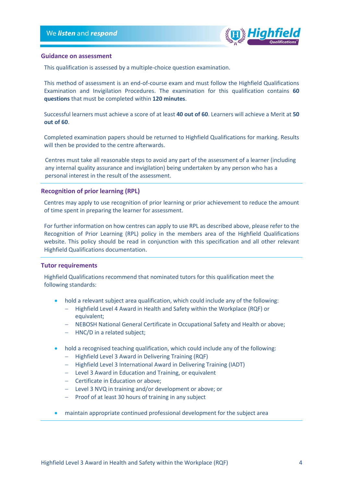

#### **Guidance on assessment**

This qualification is assessed by a multiple-choice question examination.

This method of assessment is an end-of-course exam and must follow the Highfield Qualifications Examination and Invigilation Procedures. The examination for this qualification contains **60 questions** that must be completed within **120 minutes**.

Successful learners must achieve a score of at least **40 out of 60**. Learners will achieve a Merit at **50 out of 60**.

Completed examination papers should be returned to Highfield Qualifications for marking. Results will then be provided to the centre afterwards.

Centres must take all reasonable steps to avoid any part of the assessment of a learner (including any internal quality assurance and invigilation) being undertaken by any person who has a personal interest in the result of the assessment.

#### **Recognition of prior learning (RPL)**

Centres may apply to use recognition of prior learning or prior achievement to reduce the amount of time spent in preparing the learner for assessment.

For further information on how centres can apply to use RPL as described above, please refer to the Recognition of Prior Learning (RPL) policy in the members area of the Highfield Qualifications website. This policy should be read in conjunction with this specification and all other relevant Highfield Qualifications documentation.

#### <span id="page-3-0"></span>**Tutor requirements**

Highfield Qualifications recommend that nominated tutors for this qualification meet the following standards:

- hold a relevant subject area qualification, which could include any of the following:
	- $-$  Highfield Level 4 Award in Health and Safety within the Workplace (RQF) or equivalent;
	- NEBOSH National General Certificate in Occupational Safety and Health or above;
	- HNC/D in a related subject;
- hold a recognised teaching qualification, which could include any of the following:
	- $-$  Highfield Level 3 Award in Delivering Training (RQF)
	- Highfield Level 3 International Award in Delivering Training (IADT)
	- Level 3 Award in Education and Training, or equivalent
	- Certificate in Education or above;
	- Level 3 NVQ in training and/or development or above; or
	- $-$  Proof of at least 30 hours of training in any subject
- maintain appropriate continued professional development for the subject area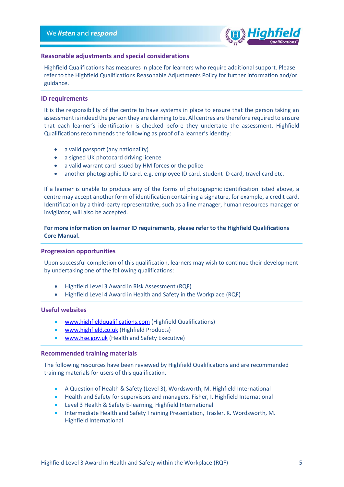

#### <span id="page-4-0"></span>**Reasonable adjustments and special considerations**

Highfield Qualifications has measures in place for learners who require additional support. Please refer to the Highfield Qualifications Reasonable Adjustments Policy for further information and/or guidance.

#### <span id="page-4-1"></span>**ID requirements**

It is the responsibility of the centre to have systems in place to ensure that the person taking an assessment is indeed the person they are claiming to be. All centres are therefore required to ensure that each learner's identification is checked before they undertake the assessment. Highfield Qualifications recommends the following as proof of a learner's identity:

- a valid passport (any nationality)
- a signed UK photocard driving licence
- a valid warrant card issued by HM forces or the police
- another photographic ID card, e.g. employee ID card, student ID card, travel card etc.

If a learner is unable to produce any of the forms of photographic identification listed above, a centre may accept another form of identification containing a signature, for example, a credit card. Identification by a third-party representative, such as a line manager, human resources manager or invigilator, will also be accepted.

### **For more information on learner ID requirements, please refer to the Highfield Qualifications Core Manual.**

#### <span id="page-4-2"></span>**Progression opportunities**

Upon successful completion of this qualification, learners may wish to continue their development by undertaking one of the following qualifications:

- Highfield Level 3 Award in Risk Assessment (RQF)
- Highfield Level 4 Award in Health and Safety in the Workplace (RQF)

#### <span id="page-4-3"></span>**Useful websites**

- [www.highfieldqualifications.com](http://www.highfieldqualifications.com/) (Highfield Qualifications)
- [www.highfield.co.uk](http://www.highfield.co.uk/) (Highfield Products)
- [www.hse.gov.uk](http://www.hse.gov.uk/) (Health and Safety Executive)

#### <span id="page-4-4"></span>**Recommended training materials**

The following resources have been reviewed by Highfield Qualifications and are recommended training materials for users of this qualification.

- A Question of Health & Safety (Level 3), Wordsworth, M. Highfield International
- Health and Safety for supervisors and managers. Fisher, I. Highfield International
- Level 3 Health & Safety E-learning, Highfield International
- Intermediate Health and Safety Training Presentation, Trasler, K. Wordsworth, M. Highfield International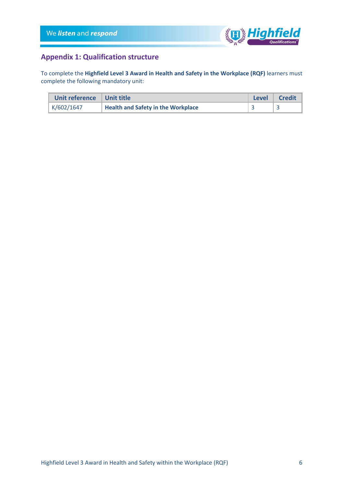

# <span id="page-5-0"></span>**Appendix 1: Qualification structure**

To complete the **Highfield Level 3 Award in Health and Safety in the Workplace (RQF)** learners must complete the following mandatory unit:

| Unit reference   Unit title |                                           | <b>Level</b> | Credit |
|-----------------------------|-------------------------------------------|--------------|--------|
| K/602/1647                  | <b>Health and Safety in the Workplace</b> |              |        |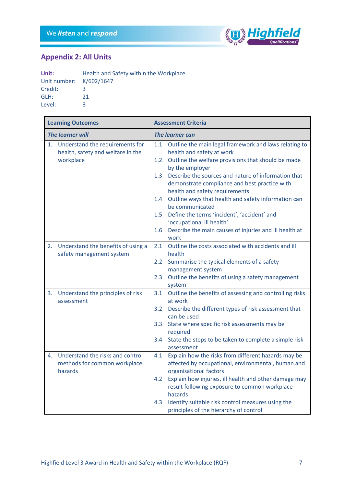

٦

# <span id="page-6-0"></span>**Appendix 2: All Units**

Г

| Unit:                   | Health and Safety within the Workplace |
|-------------------------|----------------------------------------|
| Unit number: K/602/1647 |                                        |
| Credit:                 | 3                                      |
| GLH:                    | 21                                     |
| Level:                  | 3.                                     |

|                         | <b>Learning Outcomes</b>                                                          |                        | <b>Assessment Criteria</b>                                                                                                               |  |
|-------------------------|-----------------------------------------------------------------------------------|------------------------|------------------------------------------------------------------------------------------------------------------------------------------|--|
| <b>The learner will</b> |                                                                                   | <b>The learner can</b> |                                                                                                                                          |  |
| 1.                      | Understand the requirements for<br>health, safety and welfare in the<br>workplace | 1.1<br>1.2             | Outline the main legal framework and laws relating to<br>health and safety at work<br>Outline the welfare provisions that should be made |  |
|                         |                                                                                   |                        | by the employer                                                                                                                          |  |
|                         |                                                                                   | 1.3                    | Describe the sources and nature of information that<br>demonstrate compliance and best practice with<br>health and safety requirements   |  |
|                         |                                                                                   | 1.4                    | Outline ways that health and safety information can<br>be communicated                                                                   |  |
|                         |                                                                                   | 1.5                    | Define the terms 'incident', 'accident' and<br>'occupational ill health'                                                                 |  |
|                         |                                                                                   | 1.6                    | Describe the main causes of injuries and ill health at<br>work                                                                           |  |
| 2.                      | Understand the benefits of using a<br>safety management system                    | 2.1                    | Outline the costs associated with accidents and ill<br>health                                                                            |  |
|                         |                                                                                   | 2.2                    | Summarise the typical elements of a safety<br>management system                                                                          |  |
|                         |                                                                                   | 2.3                    | Outline the benefits of using a safety management<br>system                                                                              |  |
| 3.                      | Understand the principles of risk<br>assessment                                   | 3.1                    | Outline the benefits of assessing and controlling risks<br>at work                                                                       |  |
|                         |                                                                                   | 3.2                    | Describe the different types of risk assessment that<br>can be used                                                                      |  |
|                         |                                                                                   | 3.3                    | State where specific risk assessments may be<br>required                                                                                 |  |
|                         |                                                                                   | 3.4                    | State the steps to be taken to complete a simple risk<br>assessment                                                                      |  |
| 4.                      | Understand the risks and control<br>methods for common workplace<br>hazards       | 4.1                    | Explain how the risks from different hazards may be<br>affected by occupational, environmental, human and<br>organisational factors      |  |
|                         |                                                                                   | 4.2                    | Explain how injuries, ill health and other damage may<br>result following exposure to common workplace                                   |  |
|                         |                                                                                   | 4.3                    | hazards<br>Identify suitable risk control measures using the<br>principles of the hierarchy of control                                   |  |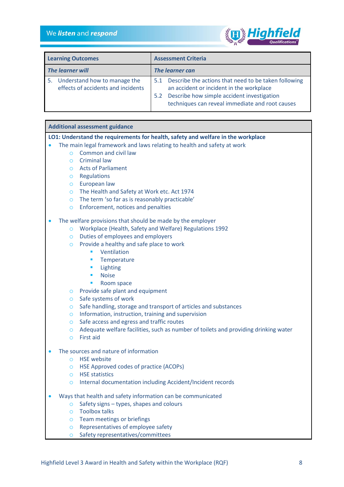

| <b>Learning Outcomes</b> |                                                                    | <b>Assessment Criteria</b> |                                                                                                      |
|--------------------------|--------------------------------------------------------------------|----------------------------|------------------------------------------------------------------------------------------------------|
| <b>The learner will</b>  |                                                                    | The learner can            |                                                                                                      |
| 5.                       | Understand how to manage the<br>effects of accidents and incidents |                            | 5.1 Describe the actions that need to be taken following<br>an accident or incident in the workplace |
|                          |                                                                    | 5.2                        | Describe how simple accident investigation<br>techniques can reveal immediate and root causes        |

#### **Additional assessment guidance**

#### **LO1: Understand the requirements for health, safety and welfare in the workplace**

- The main legal framework and laws relating to health and safety at work
	- o Common and civil law
	- o Criminal law
	- o Acts of Parliament
	- o Regulations
	- o European law
	- o The Health and Safety at Work etc. Act 1974
	- o The term 'so far as is reasonably practicable'
	- o Enforcement, notices and penalties

#### The welfare provisions that should be made by the employer

- o Workplace (Health, Safety and Welfare) Regulations 1992
- o Duties of employees and employers
- o Provide a healthy and safe place to work
	- Ventilation
	- **■** Temperature
	- Lighting
	- Noise
	- Room space
- o Provide safe plant and equipment
- o Safe systems of work
- o Safe handling, storage and transport of articles and substances
- o Information, instruction, training and supervision
- o Safe access and egress and traffic routes
- o Adequate welfare facilities, such as number of toilets and providing drinking water
- o First aid
- The sources and nature of information
	- o HSE website
	- o HSE Approved codes of practice (ACOPs)
	- o HSE statistics
	- o Internal documentation including Accident/Incident records
- Ways that health and safety information can be communicated
	- o Safety signs types, shapes and colours
	- o Toolbox talks
	- o Team meetings or briefings
	- o Representatives of employee safety
	- o Safety representatives/committees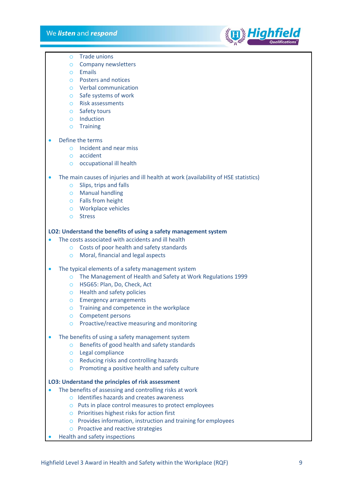

- o Trade unions
- o Company newsletters
- o Emails
- o Posters and notices
- o Verbal communication
- o Safe systems of work
- o Risk assessments
- o Safety tours
- o Induction
- o Training
- Define the terms
	- o Incident and near miss
	- o accident
	- o occupational ill health
- The main causes of injuries and ill health at work (availability of HSE statistics)
	- o Slips, trips and falls
	- o Manual handling
	- o Falls from height
	- o Workplace vehicles
	- o Stress

#### **LO2: Understand the benefits of using a safety management system**

- The costs associated with accidents and ill health
	- o Costs of poor health and safety standards
	- o Moral, financial and legal aspects
- The typical elements of a safety management system
	- o The Management of Health and Safety at Work Regulations 1999
	- o HSG65: Plan, Do, Check, Act
	- o Health and safety policies
	- o Emergency arrangements
	- o Training and competence in the workplace
	- o Competent persons
	- o Proactive/reactive measuring and monitoring
- The benefits of using a safety management system
	- o Benefits of good health and safety standards
	- o Legal compliance
	- o Reducing risks and controlling hazards
	- o Promoting a positive health and safety culture

#### **LO3: Understand the principles of risk assessment**

- The benefits of assessing and controlling risks at work
	- o Identifies hazards and creates awareness
	- o Puts in place control measures to protect employees
	- o Prioritises highest risks for action first
	- o Provides information, instruction and training for employees
	- o Proactive and reactive strategies
- Health and safety inspections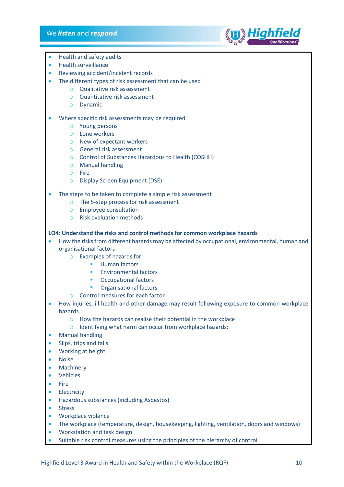## We listen and respond



- Health and safety audits
- Health surveillance
- Reviewing accident/incident records
- The different types of risk assessment that can be used
	- o Qualitative risk assessment
	- o Quantitative risk assessment
	- o Dynamic
- Where specific risk assessments may be required
	- o Young persons
	- o Lone workers
	- o New of expectant workers
	- o General risk assessment
	- o Control of Substances Hazardous to Health (COSHH)
	- o Manual handling
	- o Fire
	- o Display Screen Equipment (DSE)
- The steps to be taken to complete a simple risk assessment
	- o The 5-step process for risk assessment
	- o Employee consultation
	- o Risk evaluation methods

### **LO4: Understand the risks and control methods for common workplace hazards**

- How the risks from different hazards may be affected by occupational, environmental, human and organisational factors
	- o Examples of hazards for:
		- Human factors
		- **Environmental factors**
		- Occupational factors
		- **•** Organisational factors
	- o Control measures for each factor
- How injuries, ill health and other damage may result following exposure to common workplace hazards
	- o How the hazards can realise their potential in the workplace
	- o Identifying what harm can occur from workplace hazards:
- Manual handling
- Slips, trips and falls
- Working at height
- Noise
- **Machinery**
- Vehicles
- Fire
- **Electricity**
- Hazardous substances (including Asbestos)
- **Stress**
- Workplace violence
- The workplace (temperature, design, housekeeping, lighting, ventilation, doors and windows)
- Workstation and task design
- Suitable risk control measures using the principles of the hierarchy of control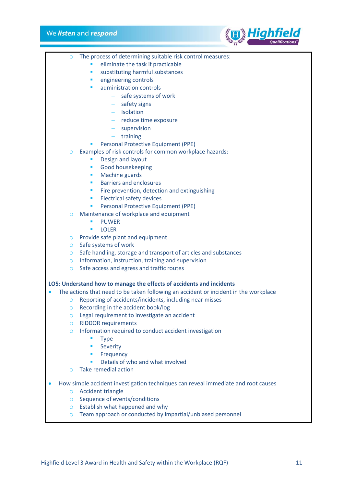# We *listen* and *respond*



|           |                    | eliminate the task if practicable<br>п                                               |
|-----------|--------------------|--------------------------------------------------------------------------------------|
|           |                    | substituting harmful substances<br>п                                                 |
|           |                    | engineering controls<br>п                                                            |
|           |                    | administration controls<br>$\blacksquare$                                            |
|           |                    | safe systems of work                                                                 |
|           |                    | safety signs                                                                         |
|           |                    | $-$ Isolation                                                                        |
|           |                    | - reduce time exposure                                                               |
|           |                    | $-$ supervision                                                                      |
|           |                    | $-$ training                                                                         |
|           |                    | Personal Protective Equipment (PPE)                                                  |
|           | $\circ$            | Examples of risk controls for common workplace hazards:                              |
|           |                    | Design and layout<br>п                                                               |
|           |                    | Good housekeeping<br>п                                                               |
|           |                    | Machine guards<br>п                                                                  |
|           |                    | <b>Barriers and enclosures</b><br>п                                                  |
|           |                    | Fire prevention, detection and extinguishing<br>٠                                    |
|           |                    | <b>Electrical safety devices</b><br>٠                                                |
|           |                    | Personal Protective Equipment (PPE)<br>П                                             |
|           | $\circ$            | Maintenance of workplace and equipment                                               |
|           |                    | <b>PUWER</b><br>п<br>ш                                                               |
|           |                    | <b>LOLER</b><br>Provide safe plant and equipment                                     |
|           | $\circ$<br>$\circ$ | Safe systems of work                                                                 |
|           | $\circ$            | Safe handling, storage and transport of articles and substances                      |
|           | $\circ$            | Information, instruction, training and supervision                                   |
|           | $\circ$            | Safe access and egress and traffic routes                                            |
|           |                    |                                                                                      |
|           |                    | LO5: Understand how to manage the effects of accidents and incidents                 |
| $\bullet$ |                    | The actions that need to be taken following an accident or incident in the workplace |
|           | O                  | Reporting of accidents/incidents, including near misses                              |
|           | $\circ$            | Recording in the accident book/log                                                   |
|           | O                  | Legal requirement to investigate an accident                                         |
|           | $\circ$            | <b>RIDDOR requirements</b>                                                           |
|           | $\circ$            | Information required to conduct accident investigation                               |
|           |                    | <b>Type</b>                                                                          |
|           |                    | Severity<br>п                                                                        |
|           |                    | Frequency<br>ш                                                                       |
|           |                    | Details of who and what involved<br>ш                                                |
|           | $\Omega$           | <b>Take remedial action</b>                                                          |
| $\bullet$ |                    | How simple accident investigation techniques can reveal immediate and root causes    |
|           | $\circ$            | <b>Accident triangle</b>                                                             |
|           | $\circ$            | Sequence of events/conditions                                                        |
|           | $\circ$            | Establish what happened and why                                                      |
|           | $\circ$            | Team approach or conducted by impartial/unbiased personnel                           |
|           |                    |                                                                                      |
|           |                    |                                                                                      |
|           |                    |                                                                                      |
|           |                    |                                                                                      |
|           |                    |                                                                                      |
|           |                    |                                                                                      |

o The process of determining suitable risk control measures: